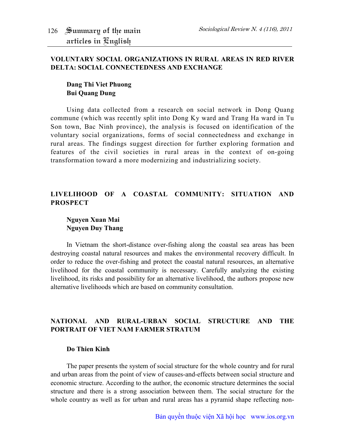#### **VOLUNTARY SOCIAL ORGANIZATIONS IN RURAL AREAS IN RED RIVER DELTA: SOCIAL CONNECTEDNESS AND EXCHANGE**

# **Dang Thi Viet Phuong Bui Quang Dung**

Using data collected from a research on social network in Dong Quang commune (which was recently split into Dong Ky ward and Trang Ha ward in Tu Son town, Bac Ninh province), the analysis is focused on identification of the voluntary social organizations, forms of social connectedness and exchange in rural areas. The findings suggest direction for further exploring formation and features of the civil societies in rural areas in the context of on-going transformation toward a more modernizing and industrializing society.

## **LIVELIHOOD OF A COASTAL COMMUNITY: SITUATION AND PROSPECT**

## **Nguyen Xuan Mai Nguyen Duy Thang**

In Vietnam the short-distance over-fishing along the coastal sea areas has been destroying coastal natural resources and makes the environmental recovery difficult. In order to reduce the over-fishing and protect the coastal natural resources, an alternative livelihood for the coastal community is necessary. Carefully analyzing the existing livelihood, its risks and possibility for an alternative livelihood, the authors propose new alternative livelihoods which are based on community consultation.

## **NATIONAL AND RURAL-URBAN SOCIAL STRUCTURE AND THE PORTRAIT OF VIET NAM FARMER STRATUM**

#### **Do Thien Kinh**

The paper presents the system of social structure for the whole country and for rural and urban areas from the point of view of causes-and-effects between social structure and economic structure. According to the author, the economic structure determines the social structure and there is a strong association between them. The social structure for the whole country as well as for urban and rural areas has a pyramid shape reflecting non